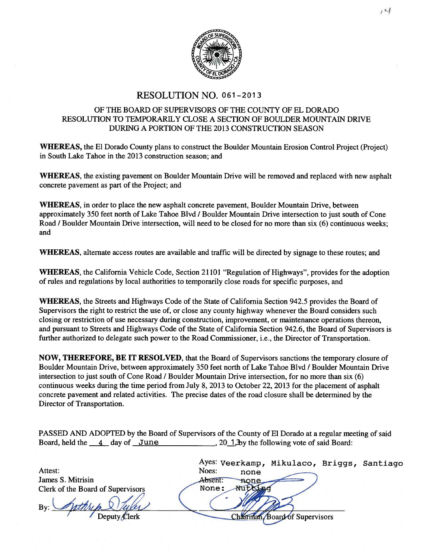

## RESOLUTION NO. 061-2013

## OF THE BOARD OF SUPERVISORS OF THE COUNTY OF EL DORADO RESOLUTION TO TEMPORARILY CLOSE A SECTION OF BOULDER MOUNTAIN ORNE DURING A PORTION OF THE 2013 CONSTRUCTION SEASON

WHEREAS, the El Dorado County plans to construct the Boulder Mountain Erosion Control Project (Project) in South Lake Tahoe in the 2013 construction season; and

WHEREAS, the existing pavement on Boulder Mountain Drive will be removed and replaced with new asphalt concrete pavement as part of the Project; and

WHEREAS, in order to place the new asphalt concrete pavement, Boulder Mountain Drive, between approximately 350 feet north of Lake Tahoe Blvd / Boulder Mountain Drive intersection to just south of Cone Road / Boulder Mountain Drive intersection, will need to be closed for no more than six (6) continuous weeks; and

WHEREAS, alternate access routes are available and traffic will be directed by signage to these routes; and

WHEREAS, the California Vehicle Code, Section 21101 "Regulation of Highways", provides for the adoption of rules and regulations by local authorities to temporarily close roads for specific purposes, and

WHEREAS, the Streets and Highways Code of the State of California Section 942.5 provides the Board of Supervisors the right to restrict the use of, or close any county highway whenever the Board considers such closing or restriction of use necessary during construction, improvement, or maintenance operations thereon, and pursuant to Streets and Highways Code of the State of California Section 942.6, the Board of Supervisors is further authorized to delegate such power to the Road Commissioner, i.e., the Director of Transportation.

NOW, THEREFORE, BE IT RESOLVED, that the Board of Supervisors sanctions the temporary closure of Boulder Mountain Drive, between approximately 350 feet north of Lake Tahoe Blvd / Boulder Mountain Drive intersection to just south of Cone Road / Boulder Mountain Drive intersection, for no more than six (6) continuous weeks during the time period from July 8, 2013 to October 22, 2013 for the placement of asphalt concrete pavement and related activities. The precise dates of the road closure shall be determined by the Director of Transportation.

PASSED AND ADOPTED by the Board of Supervisors of the County of El Dorado at a regular meeting of said Board, held the  $\frac{4}{3}$  day of June , 20<sup>1</sup>, 3by the following vote of said Board:

|                                   | Ayes: Veerkamp, Mikulaco, Briggs, Santiago |  |
|-----------------------------------|--------------------------------------------|--|
| Attest:                           | Noes:<br>none                              |  |
| James S. Mitrisin                 | Absent:<br>none                            |  |
| Clerk of the Board of Supervisors | None:                                      |  |
| $By$ :                            |                                            |  |
| Deputy Clerk                      | <b>Board of Supervisors</b>                |  |